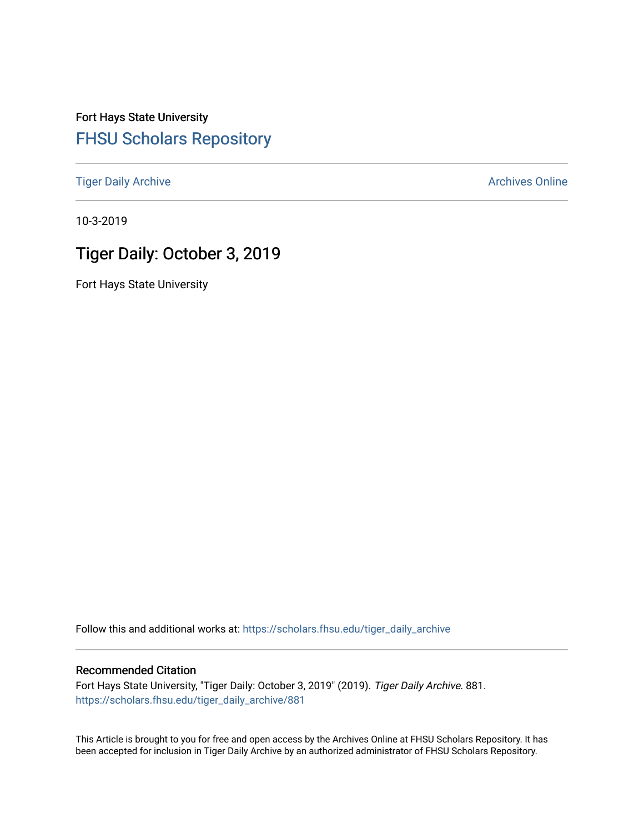Fort Hays State University [FHSU Scholars Repository](https://scholars.fhsu.edu/) 

[Tiger Daily Archive](https://scholars.fhsu.edu/tiger_daily_archive) **Archives** Online Archives Online

10-3-2019

# Tiger Daily: October 3, 2019

Fort Hays State University

Follow this and additional works at: [https://scholars.fhsu.edu/tiger\\_daily\\_archive](https://scholars.fhsu.edu/tiger_daily_archive?utm_source=scholars.fhsu.edu%2Ftiger_daily_archive%2F881&utm_medium=PDF&utm_campaign=PDFCoverPages)

#### Recommended Citation

Fort Hays State University, "Tiger Daily: October 3, 2019" (2019). Tiger Daily Archive. 881. [https://scholars.fhsu.edu/tiger\\_daily\\_archive/881](https://scholars.fhsu.edu/tiger_daily_archive/881?utm_source=scholars.fhsu.edu%2Ftiger_daily_archive%2F881&utm_medium=PDF&utm_campaign=PDFCoverPages)

This Article is brought to you for free and open access by the Archives Online at FHSU Scholars Repository. It has been accepted for inclusion in Tiger Daily Archive by an authorized administrator of FHSU Scholars Repository.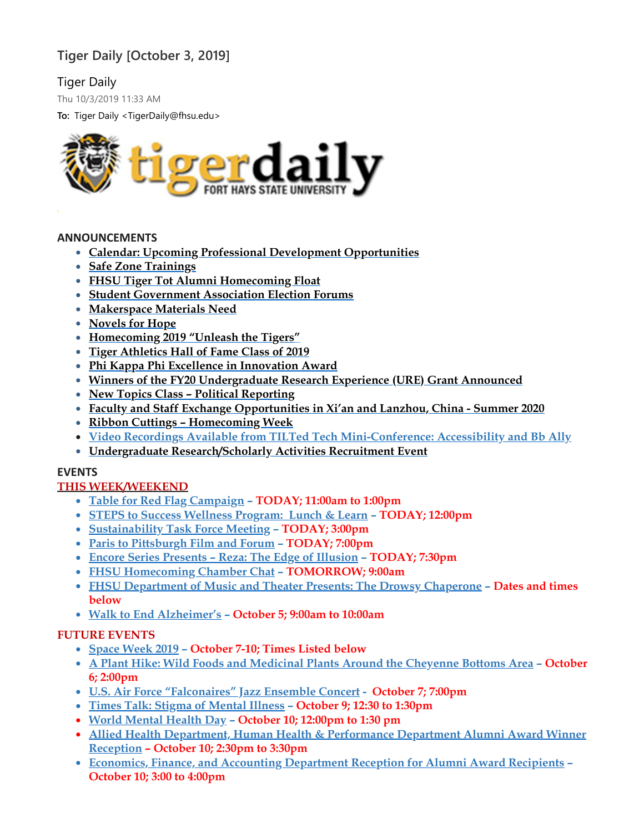## **Tiger Daily [October 3, 2019]**

## Tiger Daily

Thu 10/3/2019 11:33 AM

**To:** Tiger Daily <TigerDaily@fhsu.edu>



#### **ANNOUNCEMENTS**

- **Calendar: Upcoming Professional Development [Opportunities](#page-2-0)**
- **Safe Zone [Trainings](#page-2-1)**
- **FHSU Tiger Tot Alumni [Homecoming](#page-2-2) Float**
- **Student [Government](#page-3-0) Association Election Forums**
- **[Makerspace](#page-3-1) Materials Need**
- **[Novels](#page-3-2) for Hope**
- **[Homecoming](#page-3-3) 2019 "Unleash the Tigers"**
- **Tiger [Athletics](#page-4-0) Hall of Fame Class of 2019**
- **Phi Kappa Phi Excellence in [Innovation](#page-4-1) Award**
- **Winners of the FY20 [Undergraduate](#page-4-2) Research Experience (URE) Grant Announced**
- **New Topics Class – Political [Reporting](#page-4-3)**
- **Faculty and Staff Exchange Opportunities in Xi'an and Lanzhou, China - Summer 2020**
- **Ribbon Cuttings – [Homecoming](#page-5-0) Week**
- **Video Recordings Available from TILTed Tech [Mini-Conference:](#page-5-1) Accessibility and Bb Ally**
- **Undergraduate [Research/Scholarly](#page-6-0) Activities Recruitment Event**

#### **EVENTS**

#### **THIS WEEK/WEEKEND**

- **Table for Red Flag [Campaign](#page-6-1) – TODAY; 11:00am to 1:00pm**
- **STEPS to Success [Wellness](#page-6-2) Program: Lunch & Learn – TODAY; 12:00pm**
- **[Sustainability](#page-6-3) Task Force Meeting – TODAY; 3:00pm**
- **Paris to [Pittsburgh](#page-6-4) Film and Forum – TODAY; 7:00pm**
- **Encore Series [Presents](#page-7-0) – Reza: The Edge of Illusion – TODAY; 7:30pm**
- **FHSU [Homecoming](#page-7-1) Chamber Chat – TOMORROW; 9:00am**
- **FHSU [Department](#page-7-2) of Music and Theater Presents: The Drowsy Chaperone – Dates and times below**
- **Walk to End [Alzheimer's](#page-7-3) – October 5; 9:00am to 10:00am**

#### **FUTURE EVENTS**

- **[Space](#page-8-0) Week 2019 – October 7-10; Times Listed below**
- **A Plant Hike: Wild Foods and [Medicinal](#page-8-1) Plants Around the Cheyenne Bottoms Area – October 6; 2:00pm**
- **U.S. Air Force ["Falconaires"](#page-8-2) Jazz Ensemble Concert - October 7; 7:00pm**
- **Times Talk: Stigma of [Mental](#page-8-3) Illness – October 9; 12:30 to 1:30pm**
- **World [Mental](#page-9-0) Health Day – October 10; 12:00pm to 1:30 pm**
- **Allied Health Department, Human Health & [Performance](#page-9-1) Department Alumni Award Winner Reception – October 10; 2:30pm to 3:30pm**
- **Economics, Finance, and Accounting [Department](#page-11-0) Reception for Alumni Award Recipients – October 10; 3:00 to 4:00pm**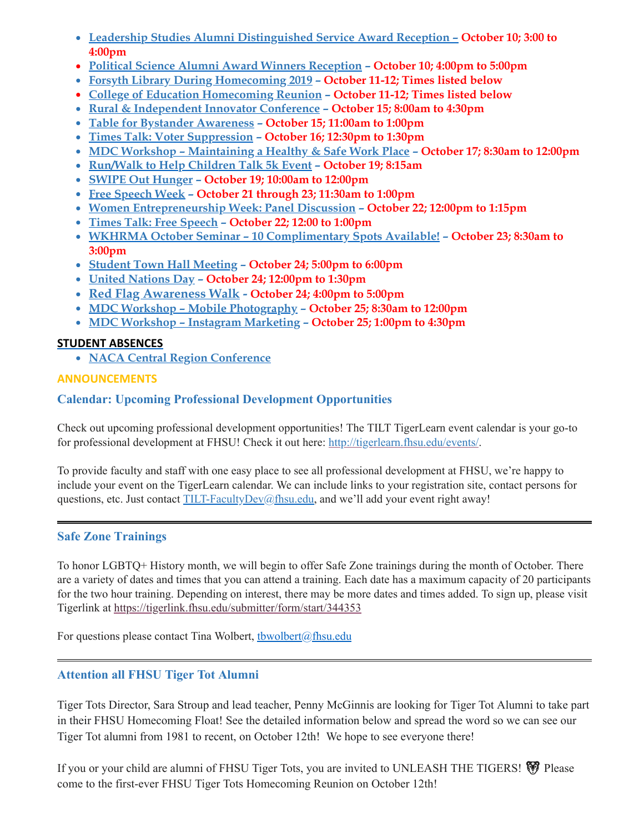- **Leadership Studies Alumni [Distinguished](#page-12-0) Service Award Reception – October 10; 3:00 to 4:00pm**
- **Political Science Alumni Award Winners [Reception](#page-11-1) – October 10; 4:00pm to 5:00pm**
- **Forsyth Library During [Homecoming](#page-12-1) 2019 – October 11-12; Times listed below**
- **College of Education [Homecoming](#page-12-2) Reunion – October 11-12; Times listed below**
- **Rural & [Independent](#page-9-2) Innovator Conference – October 15; 8:00am to 4:30pm**
- **Table for Bystander [Awareness](#page-9-3) – October 15; 11:00am to 1:00pm**
- **Times Talk: Voter [Suppression](#page-9-4) – October 16; 12:30pm to 1:30pm**
- **MDC Workshop – [Maintaining](#page-13-0) a Healthy & Safe Work Place – October 17; 8:30am to 12:00pm**
- **[Run/Walk](#page-13-1) to Help Children Talk 5k Event – October 19; 8:15am**
- **SWIPE Out [Hunger](#page-10-0) – October 19; 10:00am to 12:00pm**
- **Free [Speech](#page-10-1) Week – October 21 through 23; 11:30am to 1:00pm**
- **Women [Entrepreneurship](#page-11-2) Week: Panel Discussion – October 22; 12:00pm to 1:15pm**
- **Times Talk: Free [Speech](#page-10-2) – October 22; 12:00 to 1:00pm**
- **WKHRMA October Seminar – 10 [Complimentary](#page-11-3) Spots Available! – October 23; 8:30am to 3:00pm**
- **Student Town Hall [Meeting](#page-11-4) – October 24; 5:00pm to 6:00pm**
- **United [Nations](#page-10-3) Day – October 24; 12:00pm to 1:30pm**
- **[Red Flag Awareness Walk](#page-10-4) October 24; 4:00pm to 5:00pm**
- **MDC Workshop – Mobile [Photography](#page-13-2) – October 25; 8:30am to 12:00pm**
- **MDC Workshop – Instagram [Marketing](#page-14-0) – October 25; 1:00pm to 4:30pm**

## **STUDENT ABSENCES**

<span id="page-2-0"></span>**NACA Central Region [Conference](#page-14-1)**

## **ANNOUNCEMENTS**

## **Calendar: Upcoming Professional Development Opportunities**

Check out upcoming professional development opportunities! The TILT TigerLearn event calendar is your go-to for professional development at FHSU! Check it out here: [http://tigerlearn.fhsu.edu/events/.](http://tigerlearn.fhsu.edu/events/)

To provide faculty and staff with one easy place to see all professional development at FHSU, we're happy to include your event on the TigerLearn calendar. We can include links to your registration site, contact persons for questions, etc. Just contact [TILT-FacultyDev@fhsu.edu,](mailto:TILT-FacultyDev@fhsu.edu) and we'll add your event right away!

## <span id="page-2-1"></span>**Safe Zone Trainings**

To honor LGBTQ+ History month, we will begin to offer Safe Zone trainings during the month of October. There are a variety of dates and times that you can attend a training. Each date has a maximum capacity of 20 participants for the two hour training. Depending on interest, there may be more dates and times added. To sign up, please visit Tigerlink at <https://tigerlink.fhsu.edu/submitter/form/start/344353>

For questions please contact Tina Wolbert, thwolbert@fhsu.edu

## <span id="page-2-2"></span>**Attention all FHSU Tiger Tot Alumni**

Tiger Tots Director, Sara Stroup and lead teacher, Penny McGinnis are looking for Tiger Tot Alumni to take part in their FHSU Homecoming Float! See the detailed information below and spread the word so we can see our Tiger Tot alumni from 1981 to recent, on October 12th! We hope to see everyone there!

If you or your child are alumni of FHSU Tiger Tots, you are invited to UNLEASH THE TIGERS!  $\blacksquare$  Please come to the first-ever FHSU Tiger Tots Homecoming Reunion on October 12th!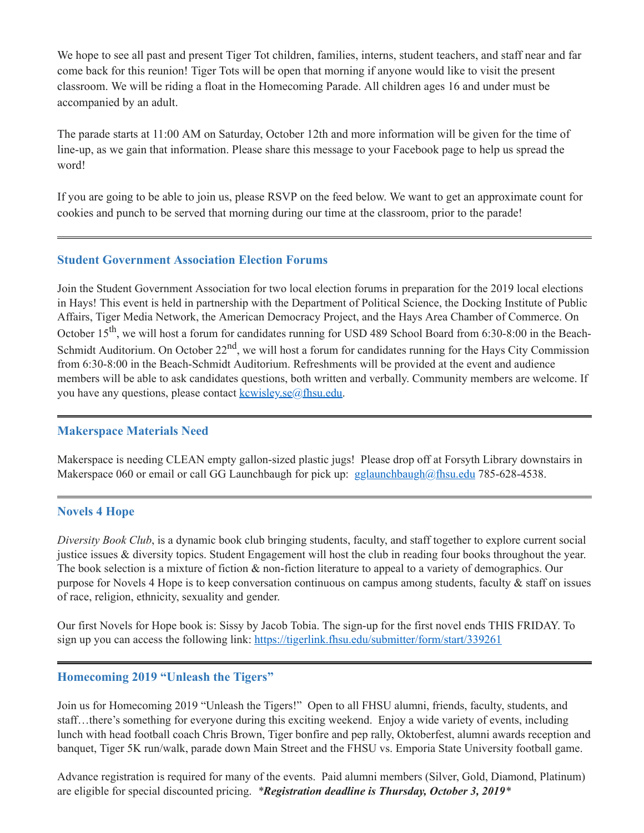We hope to see all past and present Tiger Tot children, families, interns, student teachers, and staff near and far come back for this reunion! Tiger Tots will be open that morning if anyone would like to visit the present classroom. We will be riding a float in the Homecoming Parade. All children ages 16 and under must be accompanied by an adult.

The parade starts at 11:00 AM on Saturday, October 12th and more information will be given for the time of line-up, as we gain that information. Please share this message to your Facebook page to help us spread the word!

If you are going to be able to join us, please RSVP on the feed below. We want to get an approximate count for cookies and punch to be served that morning during our time at the classroom, prior to the parade!

#### <span id="page-3-0"></span>**Student Government Association Election Forums**

Join the Student Government Association for two local election forums in preparation for the 2019 local elections in Hays! This event is held in partnership with the Department of Political Science, the Docking Institute of Public Affairs, Tiger Media Network, the American Democracy Project, and the Hays Area Chamber of Commerce. On October 15<sup>th</sup>, we will host a forum for candidates running for USD 489 School Board from 6:30-8:00 in the Beach-Schmidt Auditorium. On October 22<sup>nd</sup>, we will host a forum for candidates running for the Hays City Commission from 6:30-8:00 in the Beach-Schmidt Auditorium. Refreshments will be provided at the event and audience members will be able to ask candidates questions, both written and verbally. Community members are welcome. If you have any questions, please contact [kcwisley.se@fhsu.edu](mailto:kcwisley.se@fhsu.edu).

#### <span id="page-3-1"></span>**Makerspace Materials Need**

Makerspace is needing CLEAN empty gallon-sized plastic jugs! Please drop off at Forsyth Library downstairs in Makerspace 060 or email or call GG Launchbaugh for pick up: [gglaunchbaugh@fhsu.edu](mailto:gglaunchbaugh@fhsu.edu) 785-628-4538.

#### <span id="page-3-2"></span>**Novels 4 Hope**

*Diversity Book Club*, is a dynamic book club bringing students, faculty, and staff together to explore current social justice issues & diversity topics. Student Engagement will host the club in reading four books throughout the year. The book selection is a mixture of fiction & non-fiction literature to appeal to a variety of demographics. Our purpose for Novels 4 Hope is to keep conversation continuous on campus among students, faculty & staff on issues of race, religion, ethnicity, sexuality and gender.

Our first Novels for Hope book is: Sissy by Jacob Tobia. The sign-up for the first novel ends THIS FRIDAY. To sign up you can access the following link: <https://tigerlink.fhsu.edu/submitter/form/start/339261>

#### <span id="page-3-3"></span>**Homecoming 2019 "Unleash the Tigers"**

Join us for Homecoming 2019 "Unleash the Tigers!" Open to all FHSU alumni, friends, faculty, students, and staff…there's something for everyone during this exciting weekend. Enjoy a wide variety of events, including lunch with head football coach Chris Brown, Tiger bonfire and pep rally, Oktoberfest, alumni awards reception and banquet, Tiger 5K run/walk, parade down Main Street and the FHSU vs. Emporia State University football game.

Advance registration is required for many of the events. Paid alumni members (Silver, Gold, Diamond, Platinum) are eligible for special discounted pricing. *\*Registration deadline is Thursday, October 3, 2019\**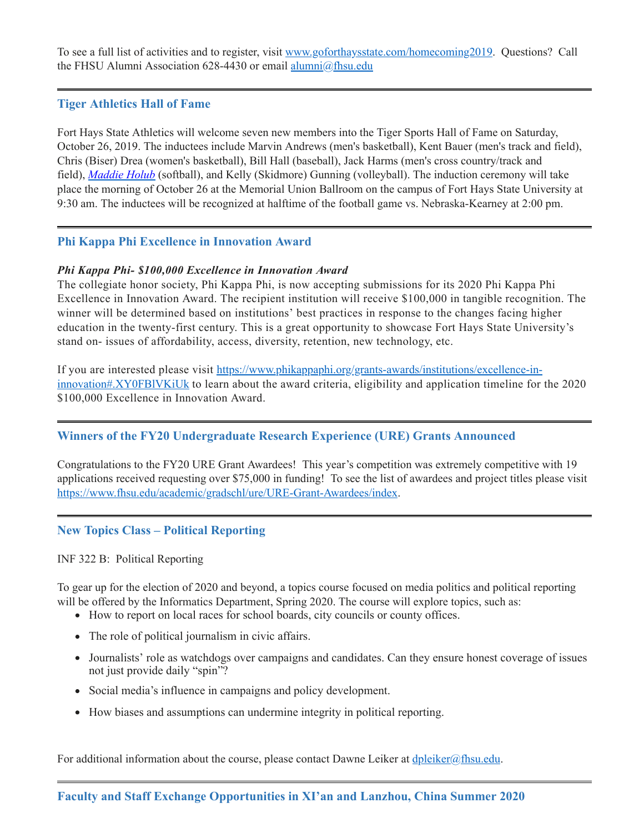To see a full list of activities and to register, visit [www.goforthaysstate.com/homecoming2019.](http://www.goforthaysstate.com/homecoming2019) Questions? Call the FHSU Alumni Association 628-4430 or email [alumni@fhsu.edu](mailto:alumni@fhsu.edu)

#### <span id="page-4-0"></span>**Tiger Athletics Hall of Fame**

Fort Hays State Athletics will welcome seven new members into the Tiger Sports Hall of Fame on Saturday, October 26, 2019. The inductees include Marvin Andrews (men's basketball), Kent Bauer (men's track and field), Chris (Biser) Drea (women's basketball), Bill Hall (baseball), Jack Harms (men's cross country/track and field), *[Maddie](https://fhsuathletics.com/roster.aspx?rp_id=703) Holub* (softball), and Kelly (Skidmore) Gunning (volleyball). The induction ceremony will take place the morning of October 26 at the Memorial Union Ballroom on the campus of Fort Hays State University at 9:30 am. The inductees will be recognized at halftime of the football game vs. Nebraska-Kearney at 2:00 pm.

#### <span id="page-4-1"></span>**Phi Kappa Phi Excellence in Innovation Award**

#### *Phi Kappa Phi- \$100,000 Excellence in Innovation Award*

The collegiate honor society, Phi Kappa Phi, is now accepting submissions for its 2020 Phi Kappa Phi Excellence in Innovation Award. The recipient institution will receive \$100,000 in tangible recognition. The winner will be determined based on institutions' best practices in response to the changes facing higher education in the twenty-first century. This is a great opportunity to showcase Fort Hays State University's stand on- issues of affordability, access, diversity, retention, new technology, etc.

If you are interested please visit [https://www.phikappaphi.org/grants-awards/institutions/excellence-in](https://www.phikappaphi.org/grants-awards/institutions/excellence-in-innovation#.XY0FBlVKiUk)innovation#.XY0FBlVKiUk to learn about the award criteria, eligibility and application timeline for the 2020 \$100,000 Excellence in Innovation Award.

#### <span id="page-4-2"></span>**Winners of the FY20 Undergraduate Research Experience (URE) Grants Announced**

Congratulations to the FY20 URE Grant Awardees! This year's competition was extremely competitive with 19 applications received requesting over \$75,000 in funding! To see the list of awardees and project titles please visit [https://www.fhsu.edu/academic/gradschl/ure/URE-Grant-Awardees/index.](https://www.fhsu.edu/academic/gradschl/ure/URE-Grant-Awardees/index)

#### <span id="page-4-3"></span>**New Topics Class – Political Reporting**

#### INF 322 B: Political Reporting

To gear up for the election of 2020 and beyond, a topics course focused on media politics and political reporting will be offered by the Informatics Department, Spring 2020. The course will explore topics, such as:

- How to report on local races for school boards, city councils or county offices.
- The role of political journalism in civic affairs.
- Journalists' role as watchdogs over campaigns and candidates. Can they ensure honest coverage of issues not just provide daily "spin"?
- Social media's influence in campaigns and policy development.
- How biases and assumptions can undermine integrity in political reporting.

For additional information about the course, please contact Dawne Leiker at [dpleiker@fhsu.edu.](mailto:dpleiker@fhsu.edu)

## **Faculty and Staff Exchange Opportunities in XI'an and Lanzhou, China Summer 2020**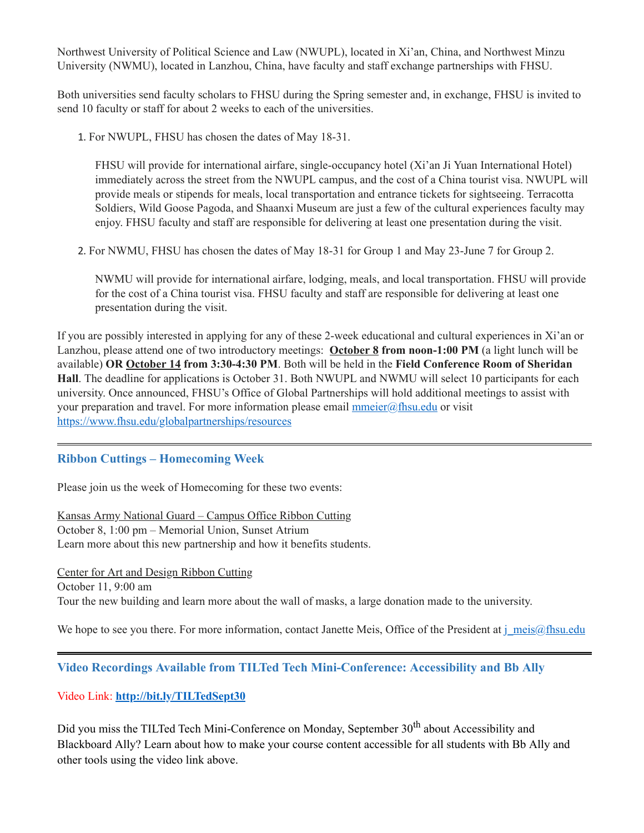Northwest University of Political Science and Law (NWUPL), located in Xi'an, China, and Northwest Minzu University (NWMU), located in Lanzhou, China, have faculty and staff exchange partnerships with FHSU.

Both universities send faculty scholars to FHSU during the Spring semester and, in exchange, FHSU is invited to send 10 faculty or staff for about 2 weeks to each of the universities.

1. For NWUPL, FHSU has chosen the dates of May 18-31.

FHSU will provide for international airfare, single-occupancy hotel (Xi'an Ji Yuan International Hotel) immediately across the street from the NWUPL campus, and the cost of a China tourist visa. NWUPL will provide meals or stipends for meals, local transportation and entrance tickets for sightseeing. Terracotta Soldiers, Wild Goose Pagoda, and Shaanxi Museum are just a few of the cultural experiences faculty may enjoy. FHSU faculty and staff are responsible for delivering at least one presentation during the visit.

2. For NWMU, FHSU has chosen the dates of May 18-31 for Group 1 and May 23-June 7 for Group 2.

NWMU will provide for international airfare, lodging, meals, and local transportation. FHSU will provide for the cost of a China tourist visa. FHSU faculty and staff are responsible for delivering at least one presentation during the visit.

If you are possibly interested in applying for any of these 2-week educational and cultural experiences in Xi'an or Lanzhou, please attend one of two introductory meetings: **October 8 from noon-1:00 PM** (a light lunch will be available) **OR October 14 from 3:30-4:30 PM**. Both will be held in the **Field Conference Room of Sheridan Hall**. The deadline for applications is October 31. Both NWUPL and NWMU will select 10 participants for each university. Once announced, FHSU's Office of Global Partnerships will hold additional meetings to assist with your preparation and travel. For more information please email  $\overline{\text{mmeier}}(\alpha)$  fhsu.edu or visit <https://www.fhsu.edu/globalpartnerships/resources>

#### <span id="page-5-0"></span>**Ribbon Cuttings – Homecoming Week**

Please join us the week of Homecoming for these two events:

Kansas Army National Guard – Campus Office Ribbon Cutting October 8, 1:00 pm – Memorial Union, Sunset Atrium Learn more about this new partnership and how it benefits students.

Center for Art and Design Ribbon Cutting October 11, 9:00 am Tour the new building and learn more about the wall of masks, a large donation made to the university.

We hope to see you there. For more information, contact Janette Meis, Office of the President at  $\frac{1}{1}$  meis $\omega$ fhsu.edu

<span id="page-5-1"></span>**Video Recordings Available from TILTed Tech Mini-Conference: Accessibility and Bb Ally**

#### Video Link: **<http://bit.ly/TILTedSept30>**

Did you miss the TILTed Tech Mini-Conference on Monday, September 30<sup>th</sup> about Accessibility and Blackboard Ally? Learn about how to make your course content accessible for all students with Bb Ally and other tools using the video link above.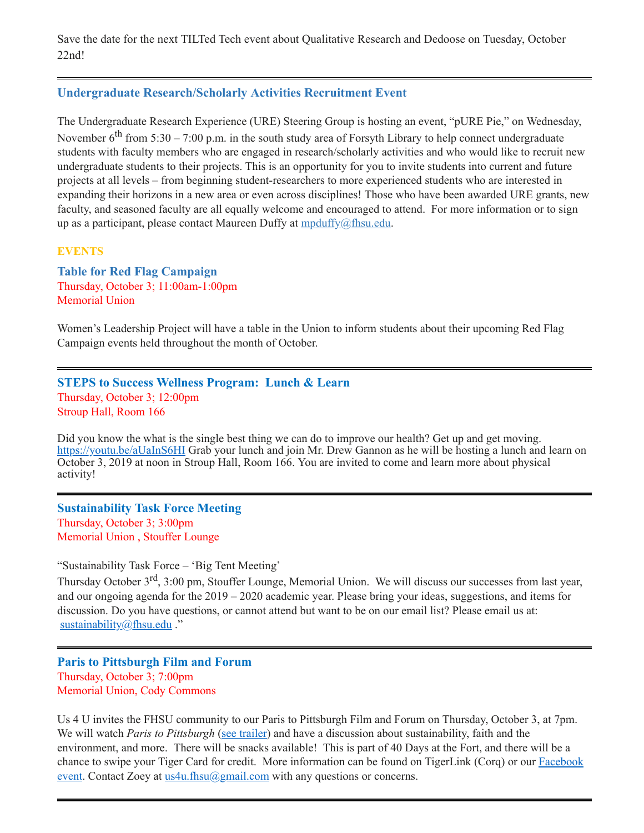Save the date for the next TILTed Tech event about Qualitative Research and Dedoose on Tuesday, October 22nd!

#### <span id="page-6-0"></span>**Undergraduate Research/Scholarly Activities Recruitment Event**

The Undergraduate Research Experience (URE) Steering Group is hosting an event, "pURE Pie," on Wednesday, November  $6^{\text{th}}$  from 5:30 – 7:00 p.m. in the south study area of Forsyth Library to help connect undergraduate students with faculty members who are engaged in research/scholarly activities and who would like to recruit new undergraduate students to their projects. This is an opportunity for you to invite students into current and future projects at all levels – from beginning student-researchers to more experienced students who are interested in expanding their horizons in a new area or even across disciplines! Those who have been awarded URE grants, new faculty, and seasoned faculty are all equally welcome and encouraged to attend. For more information or to sign up as a participant, please contact Maureen Duffy at [mpduffy@fhsu.edu.](mailto:mpduffy@fhsu.edu)

#### **EVENTS**

<span id="page-6-1"></span>**Table for Red Flag Campaign** Thursday, October 3; 11:00am-1:00pm Memorial Union

Women's Leadership Project will have a table in the Union to inform students about their upcoming Red Flag Campaign events held throughout the month of October.

#### <span id="page-6-2"></span>**STEPS to Success Wellness Program: Lunch & Learn** Thursday, October 3; 12:00pm Stroup Hall, Room 166

Did you know the what is the single best thing we can do to improve our health? Get up and get moving. <https://youtu.be/aUaInS6HI> Grab your lunch and join Mr. Drew Gannon as he will be hosting a lunch and learn on October 3, 2019 at noon in Stroup Hall, Room 166. You are invited to come and learn more about physical activity!

#### <span id="page-6-3"></span>**Sustainability Task Force Meeting** Thursday, October 3; 3:00pm Memorial Union , Stouffer Lounge

"Sustainability Task Force – 'Big Tent Meeting'

Thursday October 3<sup>rd</sup>, 3:00 pm, Stouffer Lounge, Memorial Union. We will discuss our successes from last year, and our ongoing agenda for the 2019 – 2020 academic year. Please bring your ideas, suggestions, and items for discussion. Do you have questions, or cannot attend but want to be on our email list? Please email us at: [sustainability@fhsu.edu](mailto:sustainability@fhsu.edu) ."

#### <span id="page-6-4"></span>**Paris to Pittsburgh Film and Forum** Thursday, October 3; 7:00pm Memorial Union, Cody Commons

Us 4 U invites the FHSU community to our Paris to Pittsburgh Film and Forum on Thursday, October 3, at 7pm. We will watch *Paris to Pittsburgh* (see [trailer\)](https://www.youtube.com/watch?v=sFznn8FNRbU) and have a discussion about sustainability, faith and the environment, and more. There will be snacks available! This is part of 40 Days at the Fort, and there will be a chance to swipe your Tiger Card for credit. More information can be found on TigerLink (Corq) or our Facebook event. Contact Zoey at  $us4u.fhsu@gmail.com$  with any questions or concerns.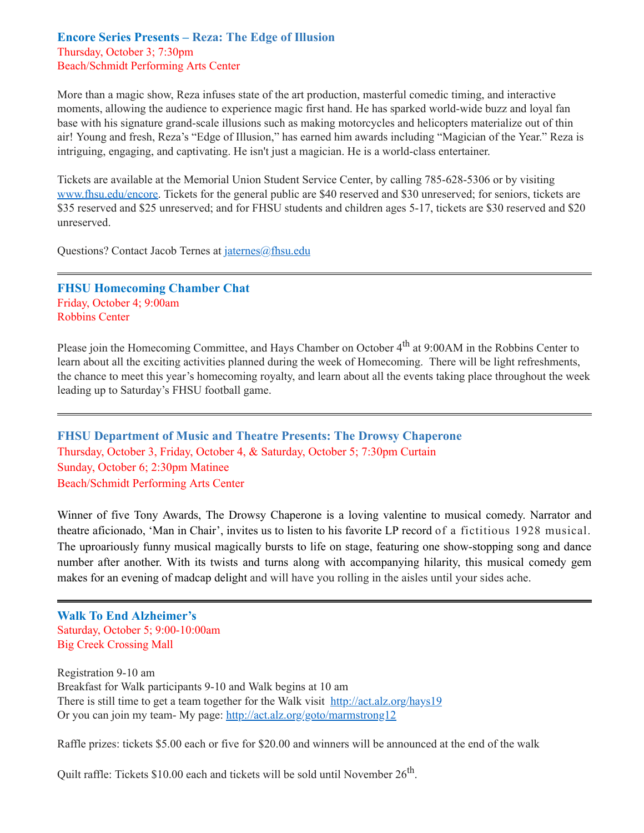#### <span id="page-7-0"></span>**Encore Series Presents – Reza: The Edge of Illusion** Thursday, October 3; 7:30pm Beach/Schmidt Performing Arts Center

More than a magic show, Reza infuses state of the art production, masterful comedic timing, and interactive moments, allowing the audience to experience magic first hand. He has sparked world-wide buzz and loyal fan base with his signature grand-scale illusions such as making motorcycles and helicopters materialize out of thin air! Young and fresh, Reza's "Edge of Illusion," has earned him awards including "Magician of the Year." Reza is intriguing, engaging, and captivating. He isn't just a magician. He is a world-class entertainer.

Tickets are available at the Memorial Union Student Service Center, by calling 785-628-5306 or by visiting [www.fhsu.edu/encore](http://www.fhsu.edu/encore). Tickets for the general public are \$40 reserved and \$30 unreserved; for seniors, tickets are \$35 reserved and \$25 unreserved; and for FHSU students and children ages 5-17, tickets are \$30 reserved and \$20 unreserved.

Questions? Contact Jacob Ternes at [jaternes@fhsu.edu](mailto:jaternes@fhsu.edu)

<span id="page-7-1"></span>**FHSU Homecoming Chamber Chat** Friday, October 4; 9:00am Robbins Center

Please join the Homecoming Committee, and Hays Chamber on October 4<sup>th</sup> at 9:00AM in the Robbins Center to learn about all the exciting activities planned during the week of Homecoming. There will be light refreshments, the chance to meet this year's homecoming royalty, and learn about all the events taking place throughout the week leading up to Saturday's FHSU football game.

<span id="page-7-2"></span>**FHSU Department of Music and Theatre Presents: The Drowsy Chaperone** Thursday, October 3, Friday, October 4, & Saturday, October 5; 7:30pm Curtain Sunday, October 6; 2:30pm Matinee Beach/Schmidt Performing Arts Center

Winner of five Tony Awards, The Drowsy Chaperone is a loving valentine to musical comedy. Narrator and theatre aficionado, 'Man in Chair', invites us to listen to his favorite LP record of a fictitious 1928 musical. The uproariously funny musical magically bursts to life on stage, featuring one show-stopping song and dance number after another. With its twists and turns along with accompanying hilarity, this musical comedy gem makes for an evening of madcap delight and will have you rolling in the aisles until your sides ache.

<span id="page-7-3"></span>**Walk To End Alzheimer's** Saturday, October 5; 9:00-10:00am Big Creek Crossing Mall

Registration 9-10 am Breakfast for Walk participants 9-10 and Walk begins at 10 am There is still time to get a team together for the Walk visit <http://act.alz.org/hays19> Or you can join my team- My page: <http://act.alz.org/goto/marmstrong12>

Raffle prizes: tickets \$5.00 each or five for \$20.00 and winners will be announced at the end of the walk

Quilt raffle: Tickets \$10.00 each and tickets will be sold until November  $26^{\text{th}}$ .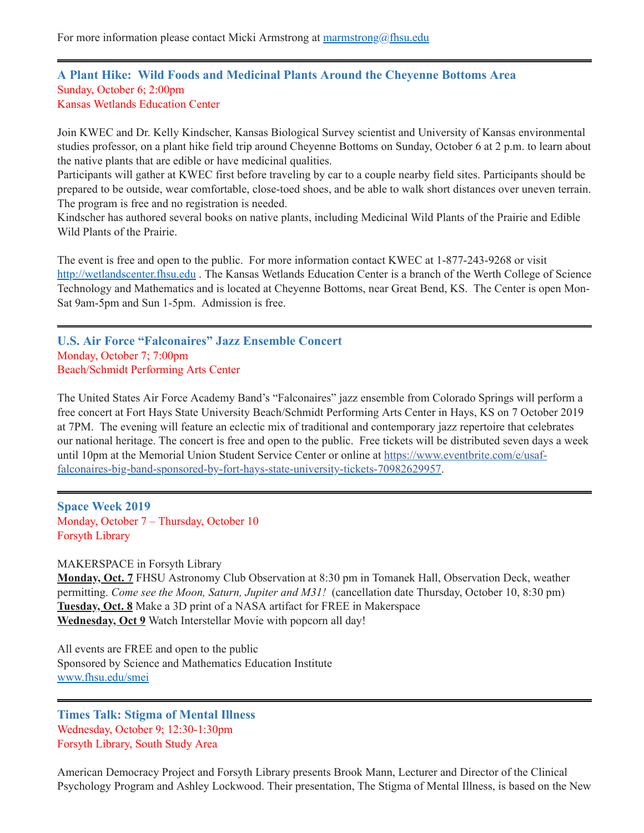For more information please contact Micki Armstrong at  $\frac{maxmst_{\text{long}}(a)}{maxmst_{\text{long}}(a)}$ 

#### <span id="page-8-1"></span>**A Plant Hike: Wild Foods and Medicinal Plants Around the Cheyenne Bottoms Area** Sunday, October 6; 2:00pm Kansas Wetlands Education Center

Join KWEC and Dr. Kelly Kindscher, Kansas Biological Survey scientist and University of Kansas environmental studies professor, on a plant hike field trip around Cheyenne Bottoms on Sunday, October 6 at 2 p.m. to learn about the native plants that are edible or have medicinal qualities.

Participants will gather at KWEC first before traveling by car to a couple nearby field sites. Participants should be prepared to be outside, wear comfortable, close-toed shoes, and be able to walk short distances over uneven terrain. The program is free and no registration is needed.

Kindscher has authored several books on native plants, including Medicinal Wild Plants of the Prairie and Edible Wild Plants of the Prairie.

The event is free and open to the public. For more information contact KWEC at 1-877-243-9268 or visit [http://wetlandscenter.fhsu.edu](http://wetlandscenter.fhsu.edu/) . The Kansas Wetlands Education Center is a branch of the Werth College of Science Technology and Mathematics and is located at Cheyenne Bottoms, near Great Bend, KS. The Center is open Mon-Sat 9am-5pm and Sun 1-5pm. Admission is free.

<span id="page-8-2"></span>**U.S. Air Force "Falconaires" Jazz Ensemble Concert** Monday, October 7; 7:00pm Beach/Schmidt Performing Arts Center

The United States Air Force Academy Band's "Falconaires" jazz ensemble from Colorado Springs will perform a free concert at Fort Hays State University Beach/Schmidt Performing Arts Center in Hays, KS on 7 October 2019 at 7PM. The evening will feature an eclectic mix of traditional and contemporary jazz repertoire that celebrates our national heritage. The concert is free and open to the public. Free tickets will be distributed seven days a week until 10pm at the Memorial Union Student Service Center or online at https://www.eventbrite.com/e/usaf[falconaires-big-band-sponsored-by-fort-hays-state-university-tickets-70982629957.](https://www.eventbrite.com/e/usaf-falconaires-big-band-sponsored-by-fort-hays-state-university-tickets-70982629957)

<span id="page-8-0"></span>**Space Week 2019**  Monday, October 7 – Thursday, October 10 Forsyth Library

#### MAKERSPACE in Forsyth Library

**Monday, Oct. 7** FHSU Astronomy Club Observation at 8:30 pm in Tomanek Hall, Observation Deck, weather permitting. *Come see the Moon, Saturn, Jupiter and M31!* (cancellation date Thursday, October 10, 8:30 pm) **Tuesday, Oct. 8** Make a 3D print of a NASA artifact for FREE in Makerspace **Wednesday, Oct 9** Watch Interstellar Movie with popcorn all day!

All events are FREE and open to the public Sponsored by Science and Mathematics Education Institute [www.fhsu.edu/smei](http://www.fhsu.edu/smei)

<span id="page-8-3"></span>**Times Talk: Stigma of Mental Illness** Wednesday, October 9; 12:30-1:30pm Forsyth Library, South Study Area

American Democracy Project and Forsyth Library presents Brook Mann, Lecturer and Director of the Clinical Psychology Program and Ashley Lockwood. Their presentation, The Stigma of Mental Illness, is based on the New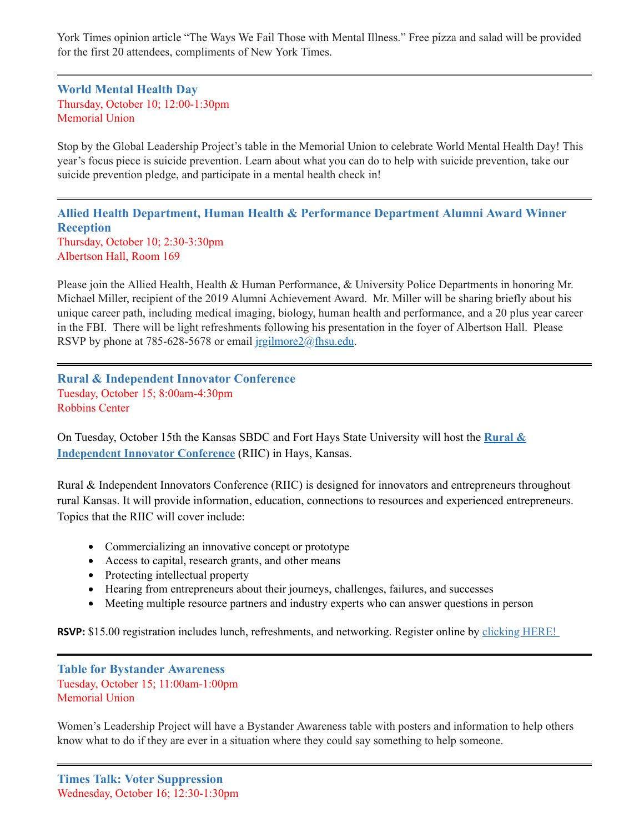York Times opinion article "The Ways We Fail Those with Mental Illness." Free pizza and salad will be provided for the first 20 attendees, compliments of New York Times.

<span id="page-9-0"></span>**World Mental Health Day** Thursday, October 10; 12:00-1:30pm Memorial Union

Stop by the Global Leadership Project's table in the Memorial Union to celebrate World Mental Health Day! This year's focus piece is suicide prevention. Learn about what you can do to help with suicide prevention, take our suicide prevention pledge, and participate in a mental health check in!

<span id="page-9-1"></span>**Allied Health Department, Human Health & Performance Department Alumni Award Winner Reception** Thursday, October 10; 2:30-3:30pm Albertson Hall, Room 169

Please join the Allied Health, Health & Human Performance, & University Police Departments in honoring Mr. Michael Miller, recipient of the 2019 Alumni Achievement Award. Mr. Miller will be sharing briefly about his unique career path, including medical imaging, biology, human health and performance, and a 20 plus year career in the FBI. There will be light refreshments following his presentation in the foyer of Albertson Hall. Please RSVP by phone at 785-628-5678 or email [jrgilmore2@fhsu.edu.](mailto:jrgilmore2@fhsu.edu)

<span id="page-9-2"></span>**Rural & Independent Innovator Conference** Tuesday, October 15; 8:00am-4:30pm Robbins Center

[On Tuesday, October 15th the Kansas SBDC and Fort Hays State University will host the](http://links.govdelivery.com/track?type=click&enid=ZWFzPTEmbXNpZD0mYXVpZD0mbWFpbGluZ2lkPTIwMTkxMDAyLjEwOTUwMjAxJm1lc3NhZ2VpZD1NREItUFJELUJVTC0yMDE5MTAwMi4xMDk1MDIwMSZkYXRhYmFzZWlkPTEwMDEmc2VyaWFsPTE2Nzg3Nzk0JmVtYWlsaWQ9cmtmZWx0ZW5iZXJnZXIyQGZoc3UuZWR1JnVzZXJpZD1ya2ZlbHRlbmJlcmdlcjJAZmhzdS5lZHUmdGFyZ2V0aWQ9JmZsPSZtdmlkPSZleHRyYT0mJiY=&&&100&&&https://www.ksinnovator.com/?utm_medium=email&utm_source=govdelivery) **Rural & Independent Innovator Conference** (RIIC) in Hays, Kansas.

Rural & Independent Innovators Conference (RIIC) is designed for innovators and entrepreneurs throughout rural Kansas. It will provide information, education, connections to resources and experienced entrepreneurs. Topics that the RIIC will cover include:

- Commercializing an innovative concept or prototype
- Access to capital, research grants, and other means
- Protecting intellectual property
- Hearing from entrepreneurs about their journeys, challenges, failures, and successes
- <span id="page-9-3"></span>Meeting multiple resource partners and industry experts who can answer questions in person

**RSVP:** \$15.00 registration includes lunch, refreshments, and networking. Register online by [clicking](https://ksbdc.ecenterdirect.com/events/25104?utm_medium=email&utm_source=govdelivery) HERE!

#### **Table for Bystander Awareness** Tuesday, October 15; 11:00am-1:00pm Memorial Union

<span id="page-9-4"></span>Women's Leadership Project will have a Bystander Awareness table with posters and information to help others know what to do if they are ever in a situation where they could say something to help someone.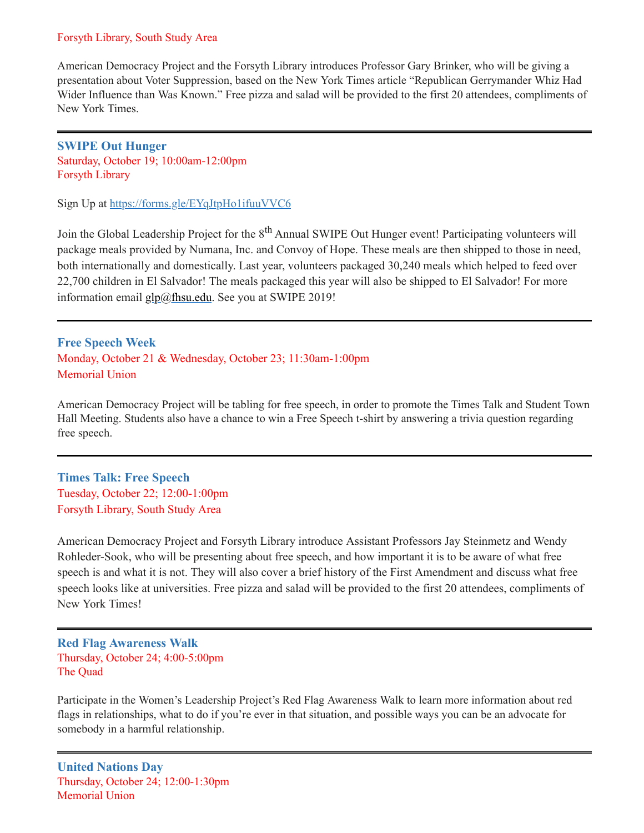#### Forsyth Library, South Study Area

American Democracy Project and the Forsyth Library introduces Professor Gary Brinker, who will be giving a presentation about Voter Suppression, based on the New York Times article "Republican Gerrymander Whiz Had Wider Influence than Was Known." Free pizza and salad will be provided to the first 20 attendees, compliments of New York Times.

<span id="page-10-0"></span>**SWIPE Out Hunger** Saturday, October 19; 10:00am-12:00pm Forsyth Library

Sign Up at <https://forms.gle/EYqJtpHo1ifuuVVC6>

Join the Global Leadership Project for the 8<sup>th</sup> Annual SWIPE Out Hunger event! Participating volunteers will package meals provided by Numana, Inc. and Convoy of Hope. These meals are then shipped to those in need, both internationally and domestically. Last year, volunteers packaged 30,240 meals which helped to feed over 22,700 children in El Salvador! The meals packaged this year will also be shipped to El Salvador! For more information email  $g \cdot p(a)$ fhsu.edu. See you at SWIPE 2019!

<span id="page-10-1"></span>**Free Speech Week** Monday, October 21 & Wednesday, October 23; 11:30am-1:00pm Memorial Union

American Democracy Project will be tabling for free speech, in order to promote the Times Talk and Student Town Hall Meeting. Students also have a chance to win a Free Speech t-shirt by answering a trivia question regarding free speech.

<span id="page-10-2"></span>**Times Talk: Free Speech** Tuesday, October 22; 12:00-1:00pm Forsyth Library, South Study Area

American Democracy Project and Forsyth Library introduce Assistant Professors Jay Steinmetz and Wendy Rohleder-Sook, who will be presenting about free speech, and how important it is to be aware of what free speech is and what it is not. They will also cover a brief history of the First Amendment and discuss what free speech looks like at universities. Free pizza and salad will be provided to the first 20 attendees, compliments of New York Times!

<span id="page-10-4"></span>**Red Flag Awareness Walk** Thursday, October 24; 4:00-5:00pm The Quad

Participate in the Women's Leadership Project's Red Flag Awareness Walk to learn more information about red flags in relationships, what to do if you're ever in that situation, and possible ways you can be an advocate for somebody in a harmful relationship.

<span id="page-10-3"></span>**United Nations Day** Thursday, October 24; 12:00-1:30pm Memorial Union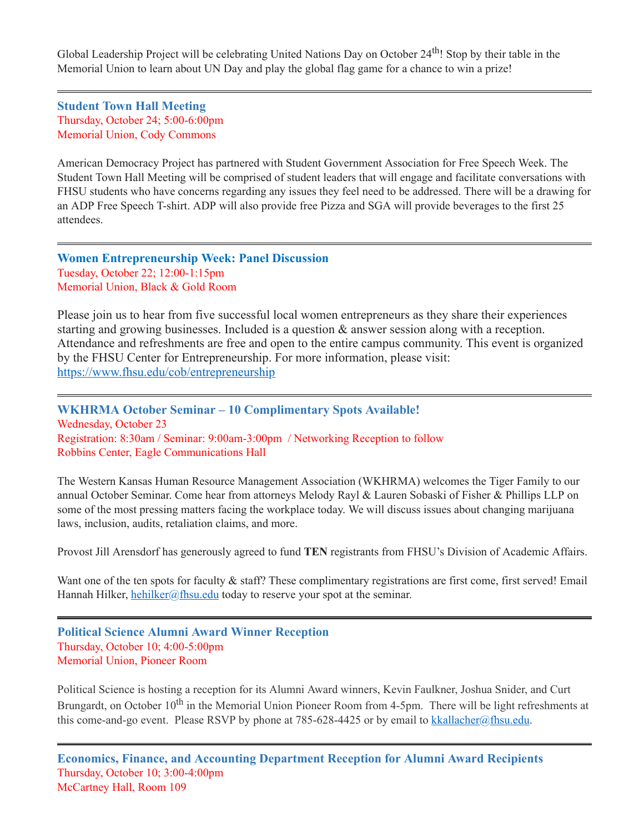Global Leadership Project will be celebrating United Nations Day on October 24<sup>th</sup>! Stop by their table in the Memorial Union to learn about UN Day and play the global flag game for a chance to win a prize!

<span id="page-11-4"></span>**Student Town Hall Meeting** Thursday, October 24; 5:00-6:00pm Memorial Union, Cody Commons

American Democracy Project has partnered with Student Government Association for Free Speech Week. The Student Town Hall Meeting will be comprised of student leaders that will engage and facilitate conversations with FHSU students who have concerns regarding any issues they feel need to be addressed. There will be a drawing for an ADP Free Speech T-shirt. ADP will also provide free Pizza and SGA will provide beverages to the first 25 attendees.

<span id="page-11-2"></span>**Women Entrepreneurship Week: Panel Discussion** Tuesday, October 22; 12:00-1:15pm Memorial Union, Black & Gold Room

Please join us to hear from five successful local women entrepreneurs as they share their experiences starting and growing businesses. Included is a question & answer session along with a reception. Attendance and refreshments are free and open to the entire campus community. This event is organized by the FHSU Center for Entrepreneurship. For more information, please visit: <https://www.fhsu.edu/cob/entrepreneurship>

<span id="page-11-3"></span>**WKHRMA October Seminar – 10 Complimentary Spots Available!** Wednesday, October 23 Registration: 8:30am / Seminar: 9:00am-3:00pm / Networking Reception to follow Robbins Center, Eagle Communications Hall

The Western Kansas Human Resource Management Association (WKHRMA) welcomes the Tiger Family to our annual October Seminar. Come hear from attorneys Melody Rayl & Lauren Sobaski of Fisher & Phillips LLP on some of the most pressing matters facing the workplace today. We will discuss issues about changing marijuana laws, inclusion, audits, retaliation claims, and more.

Provost Jill Arensdorf has generously agreed to fund **TEN** registrants from FHSU's Division of Academic Affairs.

Want one of the ten spots for faculty & staff? These complimentary registrations are first come, first served! Email Hannah Hilker, [hehilker@fhsu.edu](mailto:hehilker@fhsu.edu) today to reserve your spot at the seminar.

<span id="page-11-1"></span>**Political Science Alumni Award Winner Reception** Thursday, October 10; 4:00-5:00pm Memorial Union, Pioneer Room

<span id="page-11-0"></span>Political Science is hosting a reception for its Alumni Award winners, Kevin Faulkner, Joshua Snider, and Curt Brungardt, on October 10<sup>th</sup> in the Memorial Union Pioneer Room from 4-5pm. There will be light refreshments at this come-and-go event. Please RSVP by phone at 785-628-4425 or by email to [kkallacher@fhsu.edu.](mailto:kkallacher@fhsu.edu)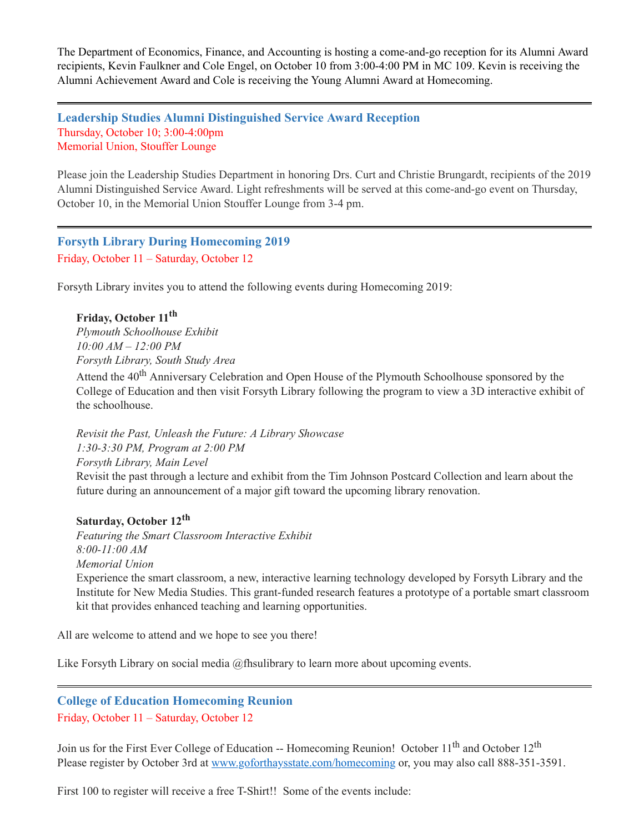The Department of Economics, Finance, and Accounting is hosting a come-and-go reception for its Alumni Award recipients, Kevin Faulkner and Cole Engel, on October 10 from 3:00-4:00 PM in MC 109. Kevin is receiving the Alumni Achievement Award and Cole is receiving the Young Alumni Award at Homecoming.

#### <span id="page-12-0"></span>**Leadership Studies Alumni Distinguished Service Award Reception** Thursday, October 10; 3:00-4:00pm Memorial Union, Stouffer Lounge

Please join the Leadership Studies Department in honoring Drs. Curt and Christie Brungardt, recipients of the 2019 Alumni Distinguished Service Award. Light refreshments will be served at this come-and-go event on Thursday, October 10, in the Memorial Union Stouffer Lounge from 3-4 pm.

## <span id="page-12-1"></span>**Forsyth Library During Homecoming 2019** Friday, October 11 – Saturday, October 12

Forsyth Library invites you to attend the following events during Homecoming 2019:

## **Friday, October 11 th**

*Plymouth Schoolhouse Exhibit 10:00 AM – 12:00 PM Forsyth Library, South Study Area*

Attend the 40<sup>th</sup> Anniversary Celebration and Open House of the Plymouth Schoolhouse sponsored by the College of Education and then visit Forsyth Library following the program to view a 3D interactive exhibit of the schoolhouse.

*Revisit the Past, Unleash the Future: A Library Showcase 1:30-3:30 PM, Program at 2:00 PM Forsyth Library, Main Level* Revisit the past through a lecture and exhibit from the Tim Johnson Postcard Collection and learn about the future during an announcement of a major gift toward the upcoming library renovation.

## **Saturday, October 12 th**

*Featuring the Smart Classroom Interactive Exhibit 8:00-11:00 AM Memorial Union* Experience the smart classroom, a new, interactive learning technology developed by Forsyth Library and the Institute for New Media Studies. This grant-funded research features a prototype of a portable smart classroom

kit that provides enhanced teaching and learning opportunities.

All are welcome to attend and we hope to see you there!

Like Forsyth Library on social media @fhsulibrary to learn more about upcoming events.

## <span id="page-12-2"></span>**College of Education Homecoming Reunion**

Friday, October 11 – Saturday, October 12

Join us for the First Ever College of Education -- Homecoming Reunion! October 11<sup>th</sup> and October 12<sup>th</sup> Please register by October 3rd at [www.goforthaysstate.com/homecoming](http://www.goforthaysstate.com/homecoming) or, you may also call 888-351-3591.

First 100 to register will receive a free T-Shirt!! Some of the events include: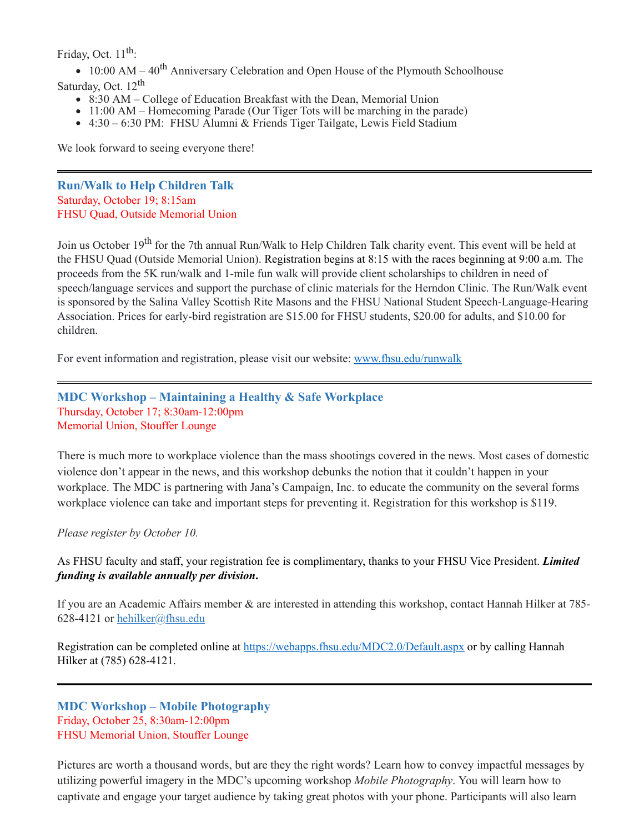Friday, Oct. 11<sup>th</sup>:

- 10:00 AM 40<sup>th</sup> Anniversary Celebration and Open House of the Plymouth Schoolhouse Saturday, Oct. 12<sup>th</sup>
	- 8:30 AM College of Education Breakfast with the Dean, Memorial Union
	- 11:00 AM Homecoming Parade (Our Tiger Tots will be marching in the parade)
	- 4:30 6:30 PM: FHSU Alumni & Friends Tiger Tailgate, Lewis Field Stadium

We look forward to seeing everyone there!

<span id="page-13-1"></span>**Run/Walk to Help Children Talk** Saturday, October 19; 8:15am FHSU Quad, Outside Memorial Union

Join us October 19<sup>th</sup> for the 7th annual Run/Walk to Help Children Talk charity event. This event will be held at the FHSU Quad (Outside Memorial Union). Registration begins at 8:15 with the races beginning at 9:00 a.m. The proceeds from the 5K run/walk and 1-mile fun walk will provide client scholarships to children in need of speech/language services and support the purchase of clinic materials for the Herndon Clinic. The Run/Walk event is sponsored by the Salina Valley Scottish Rite Masons and the FHSU National Student Speech-Language-Hearing Association. Prices for early-bird registration are \$15.00 for FHSU students, \$20.00 for adults, and \$10.00 for children.

For event information and registration, please visit our website: [www.fhsu.edu/runwalk](http://www.fhsu.edu/runwalk)

<span id="page-13-0"></span>**MDC Workshop – Maintaining a Healthy & Safe Workplace** Thursday, October 17; 8:30am-12:00pm Memorial Union, Stouffer Lounge

There is much more to workplace violence than the mass shootings covered in the news. Most cases of domestic violence don't appear in the news, and this workshop debunks the notion that it couldn't happen in your workplace. The MDC is partnering with Jana's Campaign, Inc. to educate the community on the several forms workplace violence can take and important steps for preventing it. Registration for this workshop is \$119.

*Please register by October 10.*

As FHSU faculty and staff, your registration fee is complimentary, thanks to your FHSU Vice President. *Limited funding is available annually per division***.**

If you are an Academic Affairs member & are interested in attending this workshop, contact Hannah Hilker at 785 628-4121 or [hehilker@fhsu.edu](mailto:hehilker@fhsu.edu)

Registration can be completed online at <https://webapps.fhsu.edu/MDC2.0/Default.aspx> or by calling Hannah Hilker at (785) 628-4121.

<span id="page-13-2"></span>**MDC Workshop – Mobile Photography** Friday, October 25, 8:30am-12:00pm FHSU Memorial Union, Stouffer Lounge

Pictures are worth a thousand words, but are they the right words? Learn how to convey impactful messages by utilizing powerful imagery in the MDC's upcoming workshop *Mobile Photography*. You will learn how to captivate and engage your target audience by taking great photos with your phone. Participants will also learn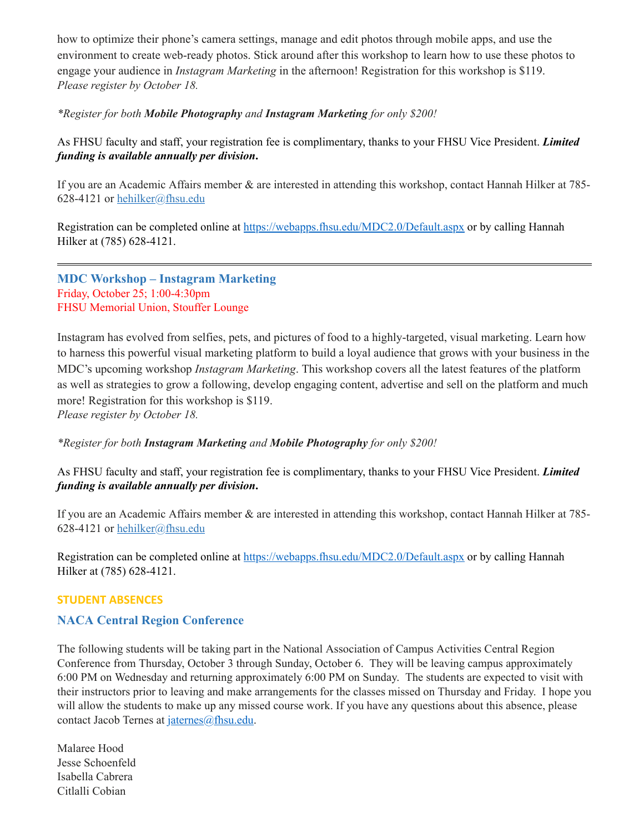how to optimize their phone's camera settings, manage and edit photos through mobile apps, and use the environment to create web-ready photos. Stick around after this workshop to learn how to use these photos to engage your audience in *Instagram Marketing* in the afternoon! Registration for this workshop is \$119. *Please register by October 18.*

#### *\*Register for both Mobile Photography and Instagram Marketing for only \$200!*

As FHSU faculty and staff, your registration fee is complimentary, thanks to your FHSU Vice President. *Limited funding is available annually per division***.**

If you are an Academic Affairs member & are interested in attending this workshop, contact Hannah Hilker at 785 628-4121 or [hehilker@fhsu.edu](mailto:hehilker@fhsu.edu)

Registration can be completed online at <https://webapps.fhsu.edu/MDC2.0/Default.aspx> or by calling Hannah Hilker at (785) 628-4121.

<span id="page-14-0"></span>**MDC Workshop – Instagram Marketing** Friday, October 25; 1:00-4:30pm FHSU Memorial Union, Stouffer Lounge

Instagram has evolved from selfies, pets, and pictures of food to a highly-targeted, visual marketing. Learn how to harness this powerful visual marketing platform to build a loyal audience that grows with your business in the MDC's upcoming workshop *Instagram Marketing*. This workshop covers all the latest features of the platform as well as strategies to grow a following, develop engaging content, advertise and sell on the platform and much more! Registration for this workshop is \$119. *Please register by October 18.*

*\*Register for both Instagram Marketing and Mobile Photography for only \$200!*

As FHSU faculty and staff, your registration fee is complimentary, thanks to your FHSU Vice President. *Limited funding is available annually per division***.**

If you are an Academic Affairs member & are interested in attending this workshop, contact Hannah Hilker at 785 628-4121 or [hehilker@fhsu.edu](mailto:hehilker@fhsu.edu)

Registration can be completed online at <https://webapps.fhsu.edu/MDC2.0/Default.aspx> or by calling Hannah Hilker at (785) 628-4121.

## **STUDENT ABSENCES**

## <span id="page-14-1"></span>**NACA Central Region Conference**

The following students will be taking part in the National Association of Campus Activities Central Region Conference from Thursday, October 3 through Sunday, October 6. They will be leaving campus approximately 6:00 PM on Wednesday and returning approximately 6:00 PM on Sunday. The students are expected to visit with their instructors prior to leaving and make arrangements for the classes missed on Thursday and Friday. I hope you will allow the students to make up any missed course work. If you have any questions about this absence, please contact Jacob Ternes at [jaternes@fhsu.edu](mailto:jaternes@fhsu.edu).

Malaree Hood Jesse Schoenfeld Isabella Cabrera Citlalli Cobian